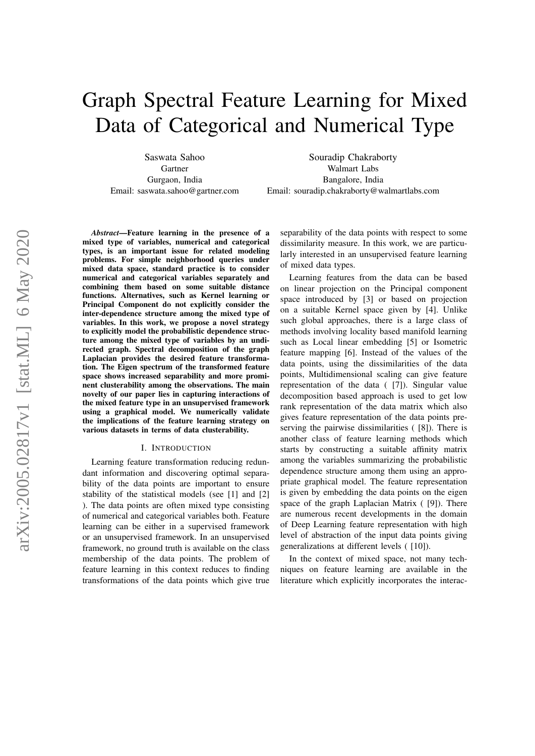# Graph Spectral Feature Learning for Mixed Data of Categorical and Numerical Type

Saswata Sahoo Gartner Gurgaon, India Email: saswata.sahoo@gartner.com

Souradip Chakraborty Walmart Labs Bangalore, India Email: souradip.chakraborty@walmartlabs.com

*Abstract*—Feature learning in the presence of a mixed type of variables, numerical and categorical types, is an important issue for related modeling problems. For simple neighborhood queries under mixed data space, standard practice is to consider numerical and categorical variables separately and combining them based on some suitable distance functions. Alternatives, such as Kernel learning or Principal Component do not explicitly consider the inter-dependence structure among the mixed type of variables. In this work, we propose a novel strategy to explicitly model the probabilistic dependence structure among the mixed type of variables by an undirected graph. Spectral decomposition of the graph Laplacian provides the desired feature transformation. The Eigen spectrum of the transformed feature space shows increased separability and more prominent clusterability among the observations. The main novelty of our paper lies in capturing interactions of the mixed feature type in an unsupervised framework using a graphical model. We numerically validate the implications of the feature learning strategy on various datasets in terms of data clusterability.

#### I. INTRODUCTION

Learning feature transformation reducing redundant information and discovering optimal separability of the data points are important to ensure stability of the statistical models (see [\[1\]](#page-7-0) and [\[2\]](#page-7-1) ). The data points are often mixed type consisting of numerical and categorical variables both. Feature learning can be either in a supervised framework or an unsupervised framework. In an unsupervised framework, no ground truth is available on the class membership of the data points. The problem of feature learning in this context reduces to finding transformations of the data points which give true

separability of the data points with respect to some dissimilarity measure. In this work, we are particularly interested in an unsupervised feature learning of mixed data types.

Learning features from the data can be based on linear projection on the Principal component space introduced by [\[3\]](#page-7-2) or based on projection on a suitable Kernel space given by [\[4\]](#page-7-3). Unlike such global approaches, there is a large class of methods involving locality based manifold learning such as Local linear embedding [\[5\]](#page-7-4) or Isometric feature mapping [\[6\]](#page-7-5). Instead of the values of the data points, using the dissimilarities of the data points, Multidimensional scaling can give feature representation of the data ( [\[7\]](#page-7-6)). Singular value decomposition based approach is used to get low rank representation of the data matrix which also gives feature representation of the data points preserving the pairwise dissimilarities ( [\[8\]](#page-7-7)). There is another class of feature learning methods which starts by constructing a suitable affinity matrix among the variables summarizing the probabilistic dependence structure among them using an appropriate graphical model. The feature representation is given by embedding the data points on the eigen space of the graph Laplacian Matrix ( [\[9\]](#page-7-8)). There are numerous recent developments in the domain of Deep Learning feature representation with high level of abstraction of the input data points giving generalizations at different levels ( [\[10\]](#page-7-9)).

In the context of mixed space, not many techniques on feature learning are available in the literature which explicitly incorporates the interac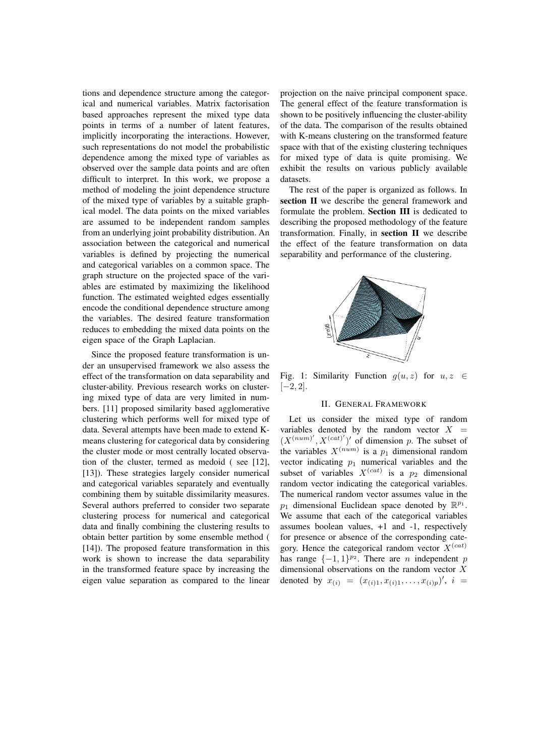tions and dependence structure among the categorical and numerical variables. Matrix factorisation based approaches represent the mixed type data points in terms of a number of latent features, implicitly incorporating the interactions. However, such representations do not model the probabilistic dependence among the mixed type of variables as observed over the sample data points and are often difficult to interpret. In this work, we propose a method of modeling the joint dependence structure of the mixed type of variables by a suitable graphical model. The data points on the mixed variables are assumed to be independent random samples from an underlying joint probability distribution. An association between the categorical and numerical variables is defined by projecting the numerical and categorical variables on a common space. The graph structure on the projected space of the variables are estimated by maximizing the likelihood function. The estimated weighted edges essentially encode the conditional dependence structure among the variables. The desired feature transformation reduces to embedding the mixed data points on the eigen space of the Graph Laplacian.

Since the proposed feature transformation is under an unsupervised framework we also assess the effect of the transformation on data separability and cluster-ability. Previous research works on clustering mixed type of data are very limited in numbers. [\[11\]](#page-7-10) proposed similarity based agglomerative clustering which performs well for mixed type of data. Several attempts have been made to extend Kmeans clustering for categorical data by considering the cluster mode or most centrally located observation of the cluster, termed as medoid ( see [\[12\]](#page-7-11), [\[13\]](#page-7-12)). These strategies largely consider numerical and categorical variables separately and eventually combining them by suitable dissimilarity measures. Several authors preferred to consider two separate clustering process for numerical and categorical data and finally combining the clustering results to obtain better partition by some ensemble method ( [\[14\]](#page-7-13)). The proposed feature transformation in this work is shown to increase the data separability in the transformed feature space by increasing the eigen value separation as compared to the linear

projection on the naive principal component space. The general effect of the feature transformation is shown to be positively influencing the cluster-ability of the data. The comparison of the results obtained with K-means clustering on the transformed feature space with that of the existing clustering techniques for mixed type of data is quite promising. We exhibit the results on various publicly available datasets.

The rest of the paper is organized as follows. In section II we describe the general framework and formulate the problem. Section III is dedicated to describing the proposed methodology of the feature transformation. Finally, in section II we describe the effect of the feature transformation on data separability and performance of the clustering.

<span id="page-1-0"></span>

Fig. 1: Similarity Function  $g(u, z)$  for  $u, z \in$  $[-2, 2]$ .

### II. GENERAL FRAMEWORK

Let us consider the mixed type of random variables denoted by the random vector  $X =$  $(X^{(num)'}, X^{(cat)'})'$  of dimension p. The subset of the variables  $X^{(num)}$  is a  $p_1$  dimensional random vector indicating  $p_1$  numerical variables and the subset of variables  $X^{(cat)}$  is a  $p_2$  dimensional random vector indicating the categorical variables. The numerical random vector assumes value in the  $p_1$  dimensional Euclidean space denoted by  $\mathbb{R}^{p_1}$ . We assume that each of the categorical variables assumes boolean values, +1 and -1, respectively for presence or absence of the corresponding category. Hence the categorical random vector  $X^{(cat)}$ has range  $\{-1,1\}^{p_2}$ . There are *n* independent *p* dimensional observations on the random vector X denoted by  $x_{(i)} = (x_{(i)1}, x_{(i)1}, \ldots, x_{(i)p})'$ ,  $i =$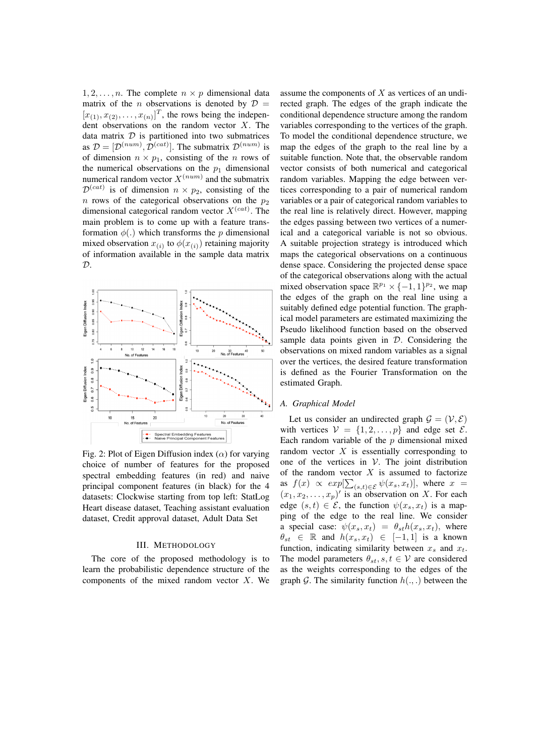$1, 2, \ldots, n$ . The complete  $n \times p$  dimensional data matrix of the *n* observations is denoted by  $\mathcal{D}$  =  $[x_{(1)}, x_{(2)}, \ldots, x_{(n)}]^T$ , the rows being the independent observations on the random vector  $X$ . The data matrix  $D$  is partitioned into two submatrices as  $\mathcal{D} = [\mathcal{D}^{(num)}, \mathcal{D}^{(cat)}]$ . The submatrix  $\mathcal{D}^{(num)}$  is of dimension  $n \times p_1$ , consisting of the *n* rows of the numerical observations on the  $p_1$  dimensional numerical random vector  $X^{(num)}$  and the submatrix  $\mathcal{D}^{(cat)}$  is of dimension  $n \times p_2$ , consisting of the n rows of the categorical observations on the  $p_2$ dimensional categorical random vector  $X^{(cat)}$ . The main problem is to come up with a feature transformation  $\phi(.)$  which transforms the p dimensional mixed observation  $x_{(i)}$  to  $\phi(x_{(i)})$  retaining majority of information available in the sample data matrix  $\mathcal{D}$ .

<span id="page-2-0"></span>

Fig. 2: Plot of Eigen Diffusion index  $(\alpha)$  for varying choice of number of features for the proposed spectral embedding features (in red) and naive principal component features (in black) for the 4 datasets: Clockwise starting from top left: StatLog Heart disease dataset, Teaching assistant evaluation dataset, Credit approval dataset, Adult Data Set

## III. METHODOLOGY

The core of the proposed methodology is to learn the probabilistic dependence structure of the components of the mixed random vector  $X$ . We assume the components of  $X$  as vertices of an undirected graph. The edges of the graph indicate the conditional dependence structure among the random variables corresponding to the vertices of the graph. To model the conditional dependence structure, we map the edges of the graph to the real line by a suitable function. Note that, the observable random vector consists of both numerical and categorical random variables. Mapping the edge between vertices corresponding to a pair of numerical random variables or a pair of categorical random variables to the real line is relatively direct. However, mapping the edges passing between two vertices of a numerical and a categorical variable is not so obvious. A suitable projection strategy is introduced which maps the categorical observations on a continuous dense space. Considering the projected dense space of the categorical observations along with the actual mixed observation space  $\mathbb{R}^{p_1} \times \{-1, 1\}^{p_2}$ , we map the edges of the graph on the real line using a suitably defined edge potential function. The graphical model parameters are estimated maximizing the Pseudo likelihood function based on the observed sample data points given in  $D$ . Considering the observations on mixed random variables as a signal over the vertices, the desired feature transformation is defined as the Fourier Transformation on the estimated Graph.

#### *A. Graphical Model*

Let us consider an undirected graph  $\mathcal{G} = (\mathcal{V}, \mathcal{E})$ with vertices  $V = \{1, 2, ..., p\}$  and edge set  $\mathcal{E}$ . Each random variable of the  $p$  dimensional mixed random vector  $X$  is essentially corresponding to one of the vertices in  $V$ . The joint distribution of the random vector  $X$  is assumed to factorize as  $f(x) \propto exp[\sum_{(s,t)\in\mathcal{E}} \psi(x_s, x_t)],$  where  $x =$  $(x_1, x_2, \ldots, x_p)'$  is an observation on X. For each edge  $(s, t) \in \mathcal{E}$ , the function  $\psi(x_s, x_t)$  is a mapping of the edge to the real line. We consider a special case:  $\psi(x_s, x_t) = \theta_{st} h(x_s, x_t)$ , where  $\theta_{st} \in \mathbb{R}$  and  $h(x_s, x_t) \in [-1, 1]$  is a known function, indicating similarity between  $x_s$  and  $x_t$ . The model parameters  $\theta_{st}$ ,  $s, t \in \mathcal{V}$  are considered as the weights corresponding to the edges of the graph G. The similarity function  $h(.,.)$  between the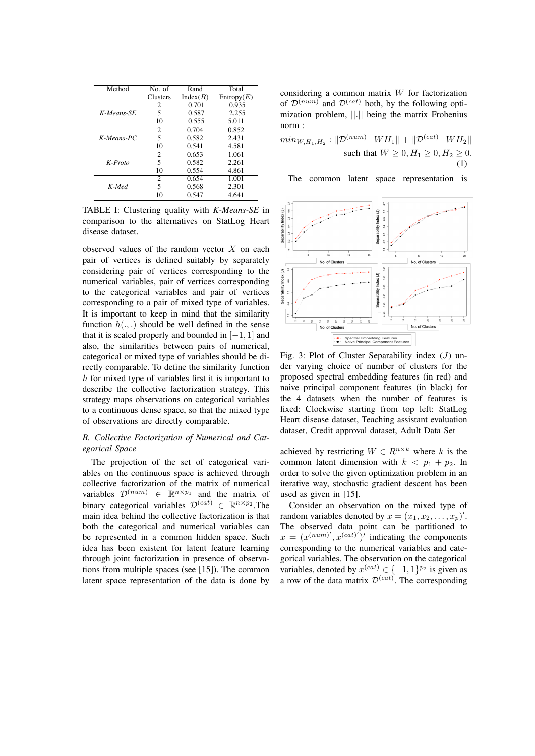<span id="page-3-1"></span>

| Method        | No. of   | Rand     | Total      |
|---------------|----------|----------|------------|
|               | Clusters | Index(R) | Entropy(E) |
| K-Means-SE    | 2        | 0.701    | 0.935      |
|               | 5        | 0.587    | 2.255      |
|               | 10       | 0.555    | 5.011      |
| $K$ -Means-PC | 2        | 0.704    | 0.852      |
|               | 5        | 0.582    | 2.431      |
|               | 10       | 0.541    | 4.581      |
| $K$ -Proto    | 2        | 0.653    | 1.061      |
|               | 5        | 0.582    | 2.261      |
|               | 10       | 0.554    | 4.861      |
| K-Med         | 2        | 0.654    | 1.001      |
|               | 5        | 0.568    | 2.301      |
|               | 10       | 0.547    | 4.641      |

TABLE I: Clustering quality with *K-Means-SE* in comparison to the alternatives on StatLog Heart disease dataset.

observed values of the random vector  $X$  on each pair of vertices is defined suitably by separately considering pair of vertices corresponding to the numerical variables, pair of vertices corresponding to the categorical variables and pair of vertices corresponding to a pair of mixed type of variables. It is important to keep in mind that the similarity function  $h(.,.)$  should be well defined in the sense that it is scaled properly and bounded in  $[-1, 1]$  and also, the similarities between pairs of numerical, categorical or mixed type of variables should be directly comparable. To define the similarity function  $h$  for mixed type of variables first it is important to describe the collective factorization strategy. This strategy maps observations on categorical variables to a continuous dense space, so that the mixed type of observations are directly comparable.

## *B. Collective Factorization of Numerical and Categorical Space*

The projection of the set of categorical variables on the continuous space is achieved through collective factorization of the matrix of numerical variables  $\mathcal{D}^{(num)} \in \mathbb{R}^{n \times p_1}$  and the matrix of binary categorical variables  $\mathcal{D}^{(cat)} \in \mathbb{R}^{n \times p_2}$ . The main idea behind the collective factorization is that both the categorical and numerical variables can be represented in a common hidden space. Such idea has been existent for latent feature learning through joint factorization in presence of observations from multiple spaces (see [\[15\]](#page-7-14)). The common latent space representation of the data is done by

considering a common matrix W for factorization of  $\mathcal{D}^{(num)}$  and  $\mathcal{D}^{(cat)}$  both, by the following optimization problem, ||.|| being the matrix Frobenius norm :

$$
min_{W,H_1,H_2}: ||\mathcal{D}^{(num)} - WH_1|| + ||\mathcal{D}^{(cat)} - WH_2||
$$
  
such that  $W \ge 0, H_1 \ge 0, H_2 \ge 0.$   
(1)

The common latent space representation is

<span id="page-3-0"></span>

Fig. 3: Plot of Cluster Separability index  $(J)$  under varying choice of number of clusters for the proposed spectral embedding features (in red) and naive principal component features (in black) for the 4 datasets when the number of features is fixed: Clockwise starting from top left: StatLog Heart disease dataset, Teaching assistant evaluation dataset, Credit approval dataset, Adult Data Set

achieved by restricting  $W \in R^{n \times k}$  where k is the common latent dimension with  $k < p_1 + p_2$ . In order to solve the given optimization problem in an iterative way, stochastic gradient descent has been used as given in [\[15\]](#page-7-14).

Consider an observation on the mixed type of random variables denoted by  $x = (x_1, x_2, \dots, x_p)'$ . The observed data point can be partitioned to  $x = (x^{(num)'}, x^{(cat)'})'$  indicating the components corresponding to the numerical variables and categorical variables. The observation on the categorical variables, denoted by  $x^{(cat)} \in \{-1, 1\}^{p_2}$  is given as a row of the data matrix  $\mathcal{D}^{(cat)}$ . The corresponding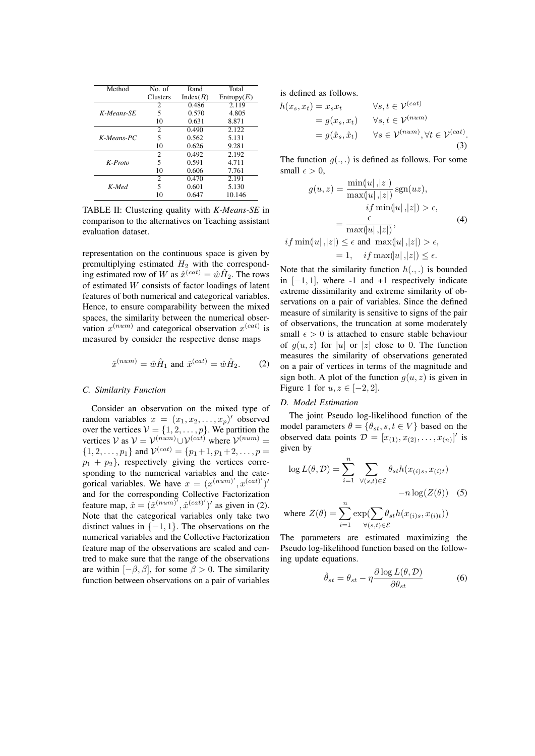| Method        | No. of                      | Rand     | Total      |
|---------------|-----------------------------|----------|------------|
|               | <b>Clusters</b>             | Index(R) | Entropy(E) |
|               |                             |          |            |
| K-Means-SE    | 2                           | 0.486    | 2.119      |
|               | 5                           | 0.570    | 4.805      |
|               | 10                          | 0.631    | 8.871      |
| $K$ -Means-PC | $\mathcal{D}_{\mathcal{L}}$ | 0.490    | 2.122      |
|               | 5                           | 0.562    | 5.131      |
|               | 10                          | 0.626    | 9.281      |
| $K$ -Proto    | 2                           | 0.492    | 2.192      |
|               | 5                           | 0.591    | 4.711      |
|               | 10                          | 0.606    | 7.761      |
| K-Med         | $\overline{c}$              | 0.470    | 2.191      |
|               | 5                           | 0.601    | 5.130      |
|               | 10                          | 0.647    | 10.146     |

TABLE II: Clustering quality with *K-Means-SE* in comparison to the alternatives on Teaching assistant evaluation dataset.

representation on the continuous space is given by premultiplying estimated  $H_2$  with the corresponding estimated row of W as  $\hat{x}^{(cat)} = \hat{w}\hat{H}_2$ . The rows of estimated W consists of factor loadings of latent features of both numerical and categorical variables. Hence, to ensure comparability between the mixed spaces, the similarity between the numerical observation  $x^{(num)}$  and categorical observation  $x^{(cat)}$  is measured by consider the respective dense maps

$$
\hat{x}^{(num)} = \hat{w}\hat{H}_1 \text{ and } \hat{x}^{(cat)} = \hat{w}\hat{H}_2. \tag{2}
$$

## <span id="page-4-0"></span>*C. Similarity Function*

Consider an observation on the mixed type of random variables  $x = (x_1, x_2, \dots, x_p)'$  observed over the vertices  $V = \{1, 2, \ldots, p\}$ . We partition the vertices  $V$  as  $V = V^{(num)} \cup V^{(cat)}$  where  $V^{(num)} =$  $\{1, 2, \ldots, p_1\}$  and  $\mathcal{V}^{(cat)} = \{p_1+1, p_1+2, \ldots, p =$  $p_1 + p_2$ , respectively giving the vertices corresponding to the numerical variables and the categorical variables. We have  $x = (x^{(num)'}, x^{(cat)'})'$ and for the corresponding Collective Factorization feature map,  $\hat{x} = (\hat{x}^{(num)}', \hat{x}^{(cat)'})'$  as given in [\(2\)](#page-4-0). Note that the categorical variables only take two distinct values in  $\{-1, 1\}$ . The observations on the numerical variables and the Collective Factorization feature map of the observations are scaled and centred to make sure that the range of the observations are within  $[-\beta, \beta]$ , for some  $\beta > 0$ . The similarity function between observations on a pair of variables is defined as follows.

$$
h(x_s, x_t) = x_s x_t \qquad \forall s, t \in \mathcal{V}^{(cat)}
$$
  
=  $g(x_s, x_t) \qquad \forall s, t \in \mathcal{V}^{(num)}$   
=  $g(\hat{x}_s, \hat{x}_t) \qquad \forall s \in \mathcal{V}^{(num)}, \forall t \in \mathcal{V}^{(cat)}$ .  
(3)

The function  $g(.,.)$  is defined as follows. For some small  $\epsilon > 0$ ,

$$
g(u, z) = \frac{\min(|u|, |z|)}{\max(|u|, |z|)} \operatorname{sgn}(uz),
$$

$$
if \min(|u|, |z|) > \epsilon,
$$

$$
= \frac{\epsilon}{\max(|u|, |z|)},
$$
(4)
$$
if \min(|u|, |z|) \le \epsilon \text{ and } \max(|u|, |z|) > \epsilon,
$$

$$
\begin{aligned} \n\min(u_1, |z|) &\geq \epsilon \text{ and } \max(u_1, |z|) > \epsilon, \\ \n&= 1, \quad \text{if } \max(u_1, |z|) \leq \epsilon. \n\end{aligned}
$$

Note that the similarity function  $h(.,.)$  is bounded in  $[-1, 1]$ , where -1 and +1 respectively indicate extreme dissimilarity and extreme similarity of observations on a pair of variables. Since the defined measure of similarity is sensitive to signs of the pair of observations, the truncation at some moderately small  $\epsilon > 0$  is attached to ensure stable behaviour of  $g(u, z)$  for |u| or |z| close to 0. The function measures the similarity of observations generated on a pair of vertices in terms of the magnitude and sign both. A plot of the function  $g(u, z)$  is given in Figure [1](#page-1-0) for  $u, z \in [-2, 2]$ .

## *D. Model Estimation*

The joint Pseudo log-likelihood function of the model parameters  $\theta = \{\theta_{st}, s, t \in V\}$  based on the observed data points  $\mathcal{D} = [x_{(1)}, x_{(2)}, \dots, x_{(n)}]'$  is given by

$$
\log L(\theta, \mathcal{D}) = \sum_{i=1}^{n} \sum_{\forall (s,t) \in \mathcal{E}} \theta_{st} h(x_{(i)s}, x_{(i)t}) - n \log(Z(\theta))
$$
 (5)

where 
$$
Z(\theta) = \sum_{i=1}^{n} \exp(\sum_{\forall (s,t) \in \mathcal{E}} \theta_{st} h(x_{(i)s}, x_{(i)t}))
$$

The parameters are estimated maximizing the Pseudo log-likelihood function based on the following update equations.

$$
\hat{\theta}_{st} = \theta_{st} - \eta \frac{\partial \log L(\theta, \mathcal{D})}{\partial \theta_{st}} \tag{6}
$$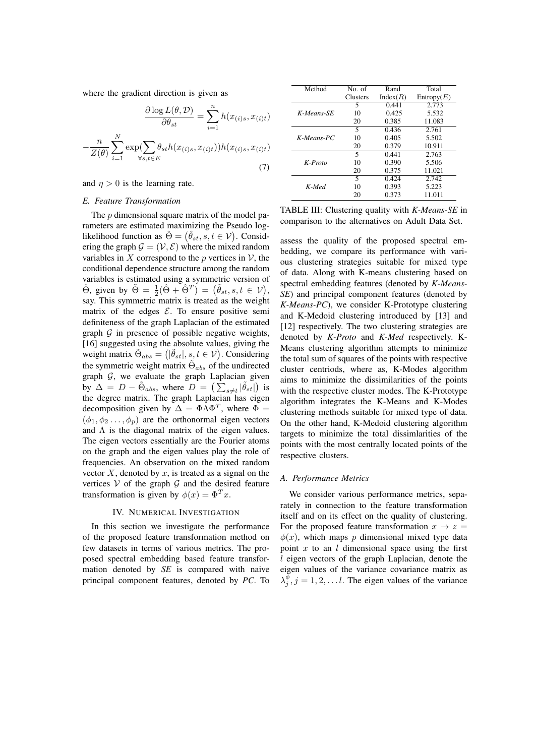where the gradient direction is given as

$$
\frac{\partial \log L(\theta, \mathcal{D})}{\partial \theta_{st}} = \sum_{i=1}^{n} h(x_{(i)s}, x_{(i)t}) - \frac{n}{Z(\theta)} \sum_{i=1}^{N} \exp(\sum_{\forall s, t \in E} \theta_{st} h(x_{(i)s}, x_{(i)t})) h(x_{(i)s}, x_{(i)t})
$$
\n(7)

and  $n > 0$  is the learning rate.

#### *E. Feature Transformation*

The  $p$  dimensional square matrix of the model parameters are estimated maximizing the Pseudo loglikelihood function as  $\hat{\Theta} = (\hat{\theta}_{st}, s, t \in \mathcal{V})$ . Considering the graph  $\mathcal{G} = (\mathcal{V}, \mathcal{E})$  where the mixed random variables in X correspond to the p vertices in  $\mathcal V$ , the conditional dependence structure among the random variables is estimated using a symmetric version of  $\hat{\Theta}$ , given by  $\tilde{\Theta} = \frac{1}{2}(\hat{\Theta} + \hat{\Theta}^T) = (\tilde{\theta}_{st}, s, t \in \mathcal{V}),$ say. This symmetric matrix is treated as the weight matrix of the edges  $\mathcal{E}$ . To ensure positive semi definiteness of the graph Laplacian of the estimated graph  $G$  in presence of possible negative weights, [\[16\]](#page-7-15) suggested using the absolute values, giving the weight matrix  $\tilde{\Theta}_{abs} = (|\tilde{\theta}_{st}|, s, t \in \mathcal{V})$ . Considering the symmetric weight matrix  $\tilde{\Theta}_{abs}$  of the undirected graph  $G$ , we evaluate the graph Laplacian given by  $\Delta = D - \tilde{\Theta}_{abs}$ , where  $\overline{D} = (\sum_{s \neq t} |\tilde{\theta}_{st}|)$  is the degree matrix. The graph Laplacian has eigen decomposition given by  $\Delta = \Phi \Lambda \Phi^T$ , where  $\Phi =$  $(\phi_1, \phi_2 \ldots, \phi_n)$  are the orthonormal eigen vectors and  $\Lambda$  is the diagonal matrix of the eigen values. The eigen vectors essentially are the Fourier atoms on the graph and the eigen values play the role of frequencies. An observation on the mixed random vector  $X$ , denoted by  $x$ , is treated as a signal on the vertices  $V$  of the graph  $G$  and the desired feature transformation is given by  $\phi(x) = \Phi^T x$ .

#### IV. NUMERICAL INVESTIGATION

In this section we investigate the performance of the proposed feature transformation method on few datasets in terms of various metrics. The proposed spectral embedding based feature transformation denoted by *SE* is compared with naive principal component features, denoted by *PC*. To

<span id="page-5-0"></span>

| Method        | No of           | Rand     | Total      |
|---------------|-----------------|----------|------------|
|               | <b>Clusters</b> | Index(R) | Entropy(E) |
| K-Means-SE    | 5               | 0.441    | 2.773      |
|               | 10              | 0.425    | 5.532      |
|               | 20              | 0.385    | 11.083     |
|               | 5               | 0.436    | 2.761      |
| $K$ -Means-PC | 10              | 0.405    | 5.502      |
|               | 20              | 0.379    | 10.911     |
| $K$ -Proto    | 5               | 0.441    | 2.763      |
|               | 10              | 0.390    | 5.506      |
|               | 20              | 0.375    | 11.021     |
| K-Med         | 5               | 0.424    | 2.742      |
|               | 10              | 0.393    | 5.223      |
|               | 20              | 0.373    | 11.011     |

TABLE III: Clustering quality with *K-Means-SE* in comparison to the alternatives on Adult Data Set.

assess the quality of the proposed spectral embedding, we compare its performance with various clustering strategies suitable for mixed type of data. Along with K-means clustering based on spectral embedding features (denoted by *K-Means-SE*) and principal component features (denoted by *K-Means-PC*), we consider K-Prototype clustering and K-Medoid clustering introduced by [\[13\]](#page-7-12) and [\[12\]](#page-7-11) respectively. The two clustering strategies are denoted by *K-Proto* and *K-Med* respectively. K-Means clustering algorithm attempts to minimize the total sum of squares of the points with respective cluster centriods, where as, K-Modes algorithm aims to minimize the dissimilarities of the points with the respective cluster modes. The K-Prototype algorithm integrates the K-Means and K-Modes clustering methods suitable for mixed type of data. On the other hand, K-Medoid clustering algorithm targets to minimize the total dissimlarities of the points with the most centrally located points of the respective clusters.

## *A. Performance Metrics*

We consider various performance metrics, separately in connection to the feature transformation itself and on its effect on the quality of clustering. For the proposed feature transformation  $x \to z =$  $\phi(x)$ , which maps p dimensional mixed type data point  $x$  to an  $l$  dimensional space using the first l eigen vectors of the graph Laplacian, denote the eigen values of the variance covariance matrix as  $\lambda_j^{\phi}$ ,  $j = 1, 2, \dots l$ . The eigen values of the variance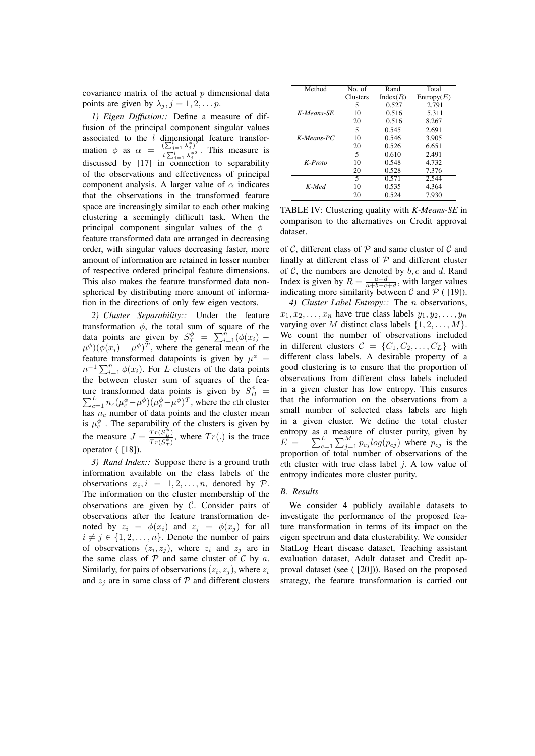covariance matrix of the actual  $p$  dimensional data points are given by  $\lambda_j$ ,  $j = 1, 2, \dots p$ .

*1) Eigen Diffusion::* Define a measure of diffusion of the principal component singular values associated to the  $l$  dimensional feature transformation  $\phi$  as  $\alpha = \frac{(\sum_{j=1}^{l} \lambda_j^{\phi})^2}{i \sum_{j=1}^{l} \lambda_j^{\phi 2}}$  $\frac{1}{l} \sum_{j=1}^{l} \frac{\lambda_j^{d/2}}{\lambda_j^{d/2}}$ . This measure is discussed by [\[17\]](#page-7-16) in connection to separability of the observations and effectiveness of principal component analysis. A larger value of  $\alpha$  indicates that the observations in the transformed feature space are increasingly similar to each other making clustering a seemingly difficult task. When the principal component singular values of the  $\phi$ − feature transformed data are arranged in decreasing order, with singular values decreasing faster, more amount of information are retained in lesser number of respective ordered principal feature dimensions. This also makes the feature transformed data nonspherical by distributing more amount of information in the directions of only few eigen vectors.

*2) Cluster Separability::* Under the feature transformation  $\phi$ , the total sum of square of the data points are given by  $S_T^{\phi} = \sum_{i=1}^{n} (\phi(x_i) (\mu^{\phi})(\phi(x_i) - \mu^{\phi})^T$ , where the general mean of the feature transformed datapoints is given by  $\mu^{\phi}$  =  $n^{-1} \sum_{i=1}^{n} \phi(x_i)$ . For L clusters of the data points the between cluster sum of squares of the feature transformed data points is given by  $S_B^{\phi}$ P The transformed data points is given by  $S_B^{\phi} = L_{c=1} n_c (\mu_c^{\phi} - \mu^{\phi}) (\mu_c^{\phi} - \mu^{\phi})^T$ , where the cth cluster has  $n_c$  number of data points and the cluster mean is  $\mu_c^{\phi}$ . The separability of the clusters is given by the measure  $J = \frac{Tr(S_B^{\phi})}{Tr(S_B^{\phi})}$  $\frac{T r(S_B)}{T r(S_T^{\phi})}$ , where  $Tr(.)$  is the trace operator ( [\[18\]](#page-7-17)).

*3) Rand Index::* Suppose there is a ground truth information available on the class labels of the observations  $x_i, i = 1, 2, ..., n$ , denoted by  $P$ . The information on the cluster membership of the observations are given by C. Consider pairs of observations after the feature transformation denoted by  $z_i = \phi(x_i)$  and  $z_j = \phi(x_j)$  for all  $i \neq j \in \{1, 2, \ldots, n\}$ . Denote the number of pairs of observations  $(z_i, z_j)$ , where  $z_i$  and  $z_j$  are in the same class of  $\overline{P}$  and same cluster of  $\overline{C}$  by  $\overline{a}$ . Similarly, for pairs of observations  $(z_i, z_j)$ , where  $z_i$ and  $z_i$  are in same class of  $P$  and different clusters

<span id="page-6-0"></span>

| Method        | No. of          | Rand     | Total      |
|---------------|-----------------|----------|------------|
|               | <b>Clusters</b> | Index(R) | Entropy(E) |
| K-Means-SE    | 5               | 0.527    | 2.791      |
|               | 10              | 0.516    | 5.311      |
|               | 20              | 0.516    | 8.267      |
| $K$ -Means-PC | 5.              | 0.545    | 2.691      |
|               | 10              | 0.546    | 3.905      |
|               | 20              | 0.526    | 6.651      |
| $K$ -Proto    | 5               | 0.610    | 2.491      |
|               | 10              | 0.548    | 4.732      |
|               | 20              | 0.528    | 7.376      |
| K-Med         | 5               | 0.571    | 2.544      |
|               | 10              | 0.535    | 4.364      |
|               | 20              | 0.524    | 7.930      |

TABLE IV: Clustering quality with *K-Means-SE* in comparison to the alternatives on Credit approval dataset.

of C, different class of P and same cluster of C and finally at different class of  $P$  and different cluster of  $C$ , the numbers are denoted by  $b, c$  and d. Rand Index is given by  $R = \frac{a+d}{a+b+c+d}$ , with larger values indicating more similarity between  $\mathcal C$  and  $\mathcal P$  ([\[19\]](#page-7-18)).

*4) Cluster Label Entropy::* The n observations,  $x_1, x_2, \ldots, x_n$  have true class labels  $y_1, y_2, \ldots, y_n$ varying over M distinct class labels  $\{1, 2, \ldots, M\}$ . We count the number of observations included in different clusters  $C = \{C_1, C_2, \ldots, C_L\}$  with different class labels. A desirable property of a good clustering is to ensure that the proportion of observations from different class labels included in a given cluster has low entropy. This ensures that the information on the observations from a small number of selected class labels are high in a given cluster. We define the total cluster entropy as a measure of cluster purity, given by  $E = -\sum_{c=1}^{L} \sum_{j=1}^{M} p_{cj} log(p_{cj})$  where  $p_{cj}$  is the proportion of total number of observations of the cth cluster with true class label  $j$ . A low value of entropy indicates more cluster purity.

# *B. Results*

We consider 4 publicly available datasets to investigate the performance of the proposed feature transformation in terms of its impact on the eigen spectrum and data clusterability. We consider StatLog Heart disease dataset, Teaching assistant evaluation dataset, Adult dataset and Credit approval dataset (see ( [\[20\]](#page-7-19))). Based on the proposed strategy, the feature transformation is carried out